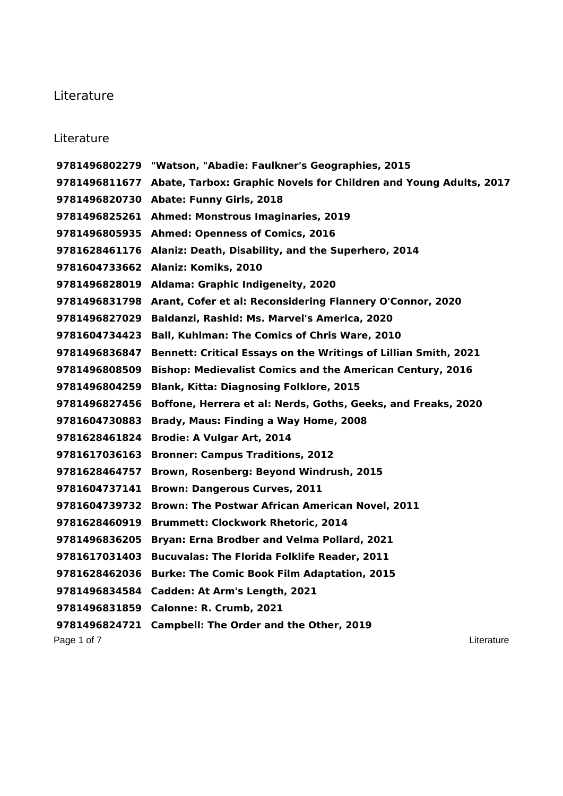## Literature

## Literature

Page 1 of 7 Literature 2004 and 2006 and 2007 and 2008 and 2008 and 2008 and 2008 and 2008 and 2008 and 2008 and 2008 and 2008 and 2008 and 2008 and 2008 and 2008 and 2008 and 2008 and 2008 and 2008 and 2008 and 2008 and 2 **"Watson, "Abadie: Faulkner's Geographies, 2015 Abate, Tarbox: Graphic Novels for Children and Young Adults, 2017 Abate: Funny Girls, 2018 Ahmed: Monstrous Imaginaries, 2019 Ahmed: Openness of Comics, 2016 Alaniz: Death, Disability, and the Superhero, 2014 Alaniz: Komiks, 2010 Aldama: Graphic Indigeneity, 2020 Arant, Cofer et al: Reconsidering Flannery O'Connor, 2020 Baldanzi, Rashid: Ms. Marvel's America, 2020 Ball, Kuhlman: The Comics of Chris Ware, 2010 Bennett: Critical Essays on the Writings of Lillian Smith, 2021 Bishop: Medievalist Comics and the American Century, 2016 Blank, Kitta: Diagnosing Folklore, 2015 Boffone, Herrera et al: Nerds, Goths, Geeks, and Freaks, 2020 Brady, Maus: Finding a Way Home, 2008 Brodie: A Vulgar Art, 2014 Bronner: Campus Traditions, 2012 Brown, Rosenberg: Beyond Windrush, 2015 Brown: Dangerous Curves, 2011 Brown: The Postwar African American Novel, 2011 Brummett: Clockwork Rhetoric, 2014 Bryan: Erna Brodber and Velma Pollard, 2021 Bucuvalas: The Florida Folklife Reader, 2011 Burke: The Comic Book Film Adaptation, 2015 Cadden: At Arm's Length, 2021 Calonne: R. Crumb, 2021 Campbell: The Order and the Other, 2019**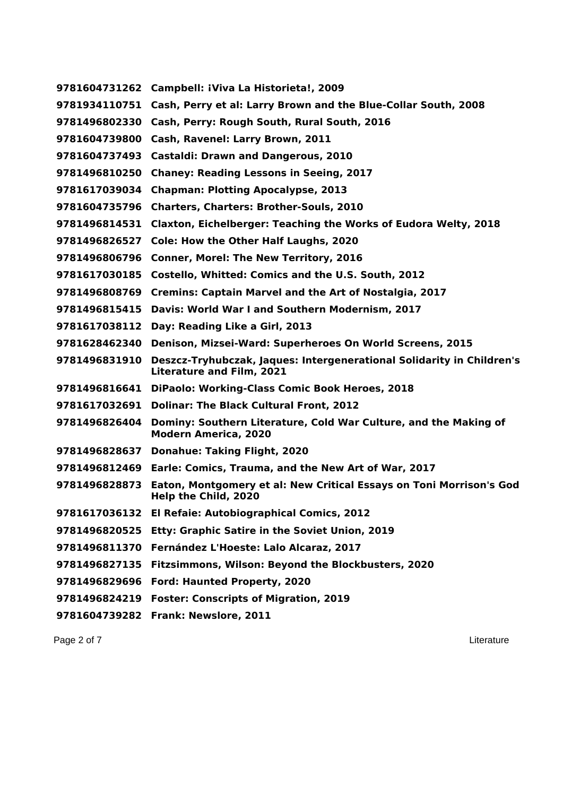| 9781604731262 | Campbell: iViva La Historieta!, 2009                                                                             |
|---------------|------------------------------------------------------------------------------------------------------------------|
| 9781934110751 | Cash, Perry et al: Larry Brown and the Blue-Collar South, 2008                                                   |
| 9781496802330 | Cash, Perry: Rough South, Rural South, 2016                                                                      |
| 9781604739800 | Cash, Ravenel: Larry Brown, 2011                                                                                 |
| 9781604737493 | <b>Castaldi: Drawn and Dangerous, 2010</b>                                                                       |
| 9781496810250 | <b>Chaney: Reading Lessons in Seeing, 2017</b>                                                                   |
| 9781617039034 | <b>Chapman: Plotting Apocalypse, 2013</b>                                                                        |
| 9781604735796 | <b>Charters, Charters: Brother-Souls, 2010</b>                                                                   |
| 9781496814531 | Claxton, Eichelberger: Teaching the Works of Eudora Welty, 2018                                                  |
| 9781496826527 | <b>Cole: How the Other Half Laughs, 2020</b>                                                                     |
| 9781496806796 | <b>Conner, Morel: The New Territory, 2016</b>                                                                    |
| 9781617030185 | Costello, Whitted: Comics and the U.S. South, 2012                                                               |
| 9781496808769 | <b>Cremins: Captain Marvel and the Art of Nostalgia, 2017</b>                                                    |
| 9781496815415 | Davis: World War I and Southern Modernism, 2017                                                                  |
| 9781617038112 | Day: Reading Like a Girl, 2013                                                                                   |
| 9781628462340 | Denison, Mizsei-Ward: Superheroes On World Screens, 2015                                                         |
| 9781496831910 | <b>Deszcz-Tryhubczak, Jaques: Intergenerational Solidarity in Children's</b><br><b>Literature and Film, 2021</b> |
| 9781496816641 | <b>DiPaolo: Working-Class Comic Book Heroes, 2018</b>                                                            |
| 9781617032691 | <b>Dolinar: The Black Cultural Front, 2012</b>                                                                   |
| 9781496826404 | Dominy: Southern Literature, Cold War Culture, and the Making of<br><b>Modern America, 2020</b>                  |
| 9781496828637 | <b>Donahue: Taking Flight, 2020</b>                                                                              |
| 9781496812469 | Earle: Comics, Trauma, and the New Art of War, 2017                                                              |
| 9781496828873 | Eaton, Montgomery et al: New Critical Essays on Toni Morrison's God<br>Help the Child, 2020                      |
| 9781617036132 | El Refaie: Autobiographical Comics, 2012                                                                         |
| 9781496820525 | Etty: Graphic Satire in the Soviet Union, 2019                                                                   |
| 9781496811370 | Fernández L'Hoeste: Lalo Alcaraz, 2017                                                                           |
| 9781496827135 | Fitzsimmons, Wilson: Beyond the Blockbusters, 2020                                                               |
| 9781496829696 | Ford: Haunted Property, 2020                                                                                     |
| 9781496824219 | <b>Foster: Conscripts of Migration, 2019</b>                                                                     |
|               | 9781604739282 Frank: Newslore, 2011                                                                              |

Page 2 of 7 Literature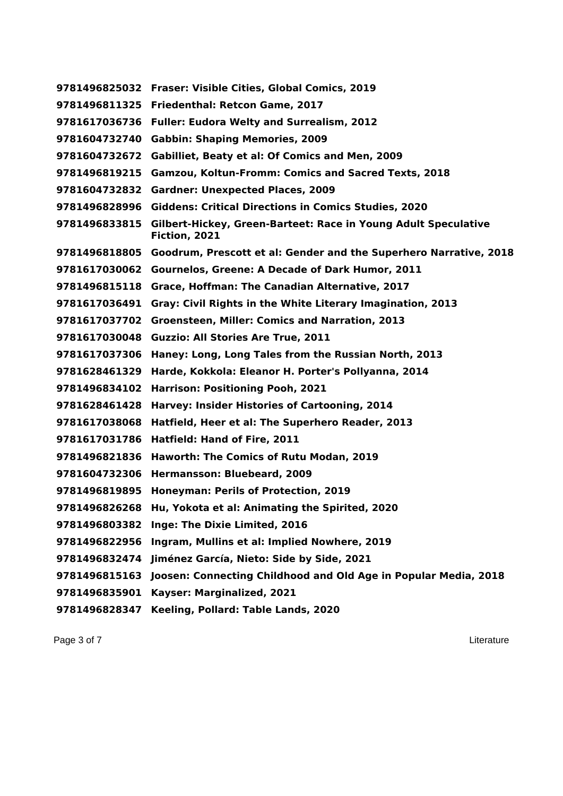|               | 9781496825032 Fraser: Visible Cities, Global Comics, 2019                       |
|---------------|---------------------------------------------------------------------------------|
|               | 9781496811325 Friedenthal: Retcon Game, 2017                                    |
| 9781617036736 | <b>Fuller: Eudora Welty and Surrealism, 2012</b>                                |
| 9781604732740 | <b>Gabbin: Shaping Memories, 2009</b>                                           |
| 9781604732672 | <b>Gabilliet, Beaty et al: Of Comics and Men, 2009</b>                          |
| 9781496819215 | Gamzou, Koltun-Fromm: Comics and Sacred Texts, 2018                             |
| 9781604732832 | <b>Gardner: Unexpected Places, 2009</b>                                         |
| 9781496828996 | <b>Giddens: Critical Directions in Comics Studies, 2020</b>                     |
| 9781496833815 | Gilbert-Hickey, Green-Barteet: Race in Young Adult Speculative<br>Fiction, 2021 |
|               | 9781496818805 Goodrum, Prescott et al: Gender and the Superhero Narrative, 2018 |
|               | 9781617030062 Gournelos, Greene: A Decade of Dark Humor, 2011                   |
| 9781496815118 | Grace, Hoffman: The Canadian Alternative, 2017                                  |
| 9781617036491 | Gray: Civil Rights in the White Literary Imagination, 2013                      |
| 9781617037702 | Groensteen, Miller: Comics and Narration, 2013                                  |
| 9781617030048 | <b>Guzzio: All Stories Are True, 2011</b>                                       |
| 9781617037306 | Haney: Long, Long Tales from the Russian North, 2013                            |
| 9781628461329 | Harde, Kokkola: Eleanor H. Porter's Pollyanna, 2014                             |
| 9781496834102 | <b>Harrison: Positioning Pooh, 2021</b>                                         |
| 9781628461428 | <b>Harvey: Insider Histories of Cartooning, 2014</b>                            |
| 9781617038068 | Hatfield, Heer et al: The Superhero Reader, 2013                                |
| 9781617031786 | Hatfield: Hand of Fire, 2011                                                    |
| 9781496821836 | Haworth: The Comics of Rutu Modan, 2019                                         |
|               | 9781604732306 Hermansson: Bluebeard, 2009                                       |
| 9781496819895 | Honeyman: Perils of Protection, 2019                                            |
|               | 9781496826268 Hu, Yokota et al: Animating the Spirited, 2020                    |
| 9781496803382 | Inge: The Dixie Limited, 2016                                                   |
| 9781496822956 | Ingram, Mullins et al: Implied Nowhere, 2019                                    |
| 9781496832474 | Jiménez García, Nieto: Side by Side, 2021                                       |
| 9781496815163 | Joosen: Connecting Childhood and Old Age in Popular Media, 2018                 |
| 9781496835901 | Kayser: Marginalized, 2021                                                      |
| 9781496828347 | Keeling, Pollard: Table Lands, 2020                                             |

Page 3 of 7 Literature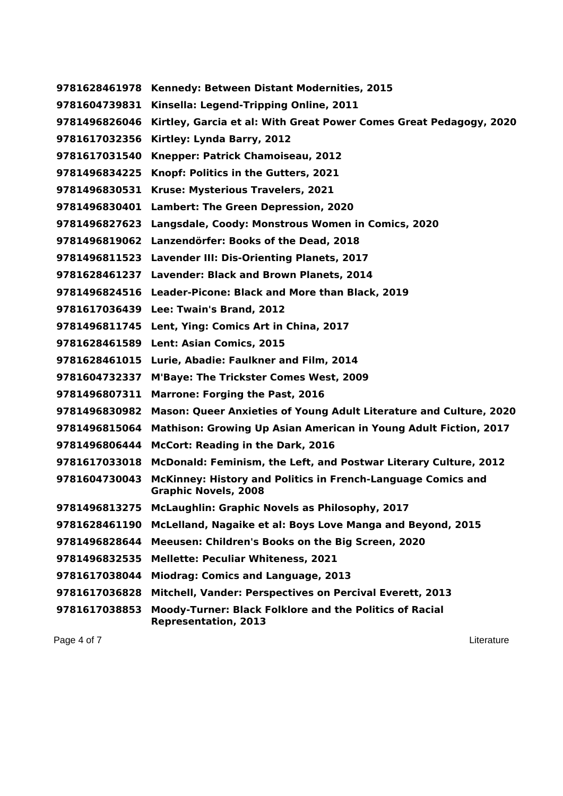| 9781628461978 | Kennedy: Between Distant Modernities, 2015                                                    |
|---------------|-----------------------------------------------------------------------------------------------|
| 9781604739831 | Kinsella: Legend-Tripping Online, 2011                                                        |
| 9781496826046 | Kirtley, Garcia et al: With Great Power Comes Great Pedagogy, 2020                            |
| 9781617032356 | Kirtley: Lynda Barry, 2012                                                                    |
| 9781617031540 | Knepper: Patrick Chamoiseau, 2012                                                             |
| 9781496834225 | Knopf: Politics in the Gutters, 2021                                                          |
| 9781496830531 | Kruse: Mysterious Travelers, 2021                                                             |
| 9781496830401 | Lambert: The Green Depression, 2020                                                           |
| 9781496827623 | Langsdale, Coody: Monstrous Women in Comics, 2020                                             |
| 9781496819062 | Lanzendörfer: Books of the Dead, 2018                                                         |
|               | 9781496811523 Lavender III: Dis-Orienting Planets, 2017                                       |
| 9781628461237 | <b>Lavender: Black and Brown Planets, 2014</b>                                                |
|               | 9781496824516 Leader-Picone: Black and More than Black, 2019                                  |
| 9781617036439 | Lee: Twain's Brand, 2012                                                                      |
| 9781496811745 | Lent, Ying: Comics Art in China, 2017                                                         |
| 9781628461589 | <b>Lent: Asian Comics, 2015</b>                                                               |
| 9781628461015 | Lurie, Abadie: Faulkner and Film, 2014                                                        |
| 9781604732337 | <b>M'Baye: The Trickster Comes West, 2009</b>                                                 |
| 9781496807311 | <b>Marrone: Forging the Past, 2016</b>                                                        |
| 9781496830982 | Mason: Queer Anxieties of Young Adult Literature and Culture, 2020                            |
| 9781496815064 | <b>Mathison: Growing Up Asian American in Young Adult Fiction, 2017</b>                       |
| 9781496806444 | McCort: Reading in the Dark, 2016                                                             |
| 9781617033018 | McDonald: Feminism, the Left, and Postwar Literary Culture, 2012                              |
| 9781604730043 | McKinney: History and Politics in French-Language Comics and<br><b>Graphic Novels, 2008</b>   |
| 9781496813275 | McLaughlin: Graphic Novels as Philosophy, 2017                                                |
| 9781628461190 | McLelland, Nagaike et al: Boys Love Manga and Beyond, 2015                                    |
| 9781496828644 | Meeusen: Children's Books on the Big Screen, 2020                                             |
| 9781496832535 | <b>Mellette: Peculiar Whiteness, 2021</b>                                                     |
| 9781617038044 | <b>Miodrag: Comics and Language, 2013</b>                                                     |
| 9781617036828 | Mitchell, Vander: Perspectives on Percival Everett, 2013                                      |
| 9781617038853 | <b>Moody-Turner: Black Folklore and the Politics of Racial</b><br><b>Representation, 2013</b> |

Page 4 of 7 Literature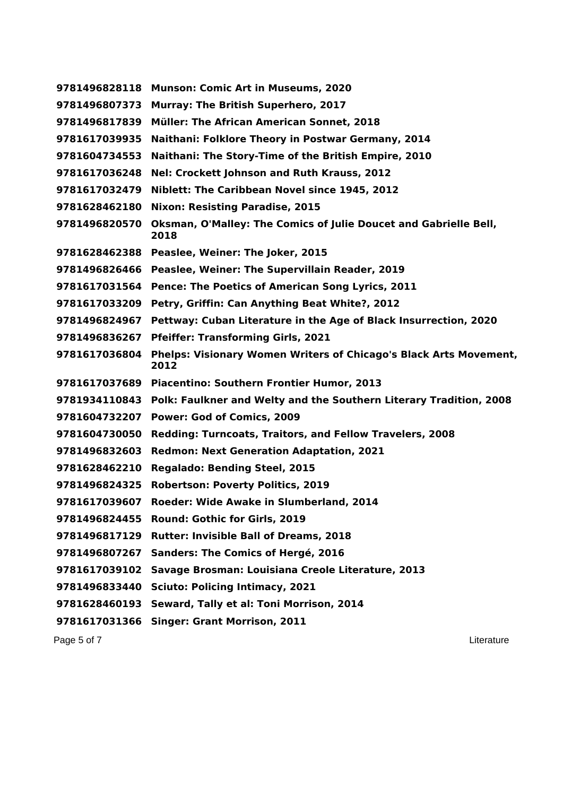| 9781496828118 | <b>Munson: Comic Art in Museums, 2020</b>                                        |
|---------------|----------------------------------------------------------------------------------|
| 9781496807373 | <b>Murray: The British Superhero, 2017</b>                                       |
| 9781496817839 | <b>Müller: The African American Sonnet, 2018</b>                                 |
| 9781617039935 | Naithani: Folklore Theory in Postwar Germany, 2014                               |
| 9781604734553 | Naithani: The Story-Time of the British Empire, 2010                             |
| 9781617036248 | Nel: Crockett Johnson and Ruth Krauss, 2012                                      |
| 9781617032479 | Niblett: The Caribbean Novel since 1945, 2012                                    |
| 9781628462180 | <b>Nixon: Resisting Paradise, 2015</b>                                           |
| 9781496820570 | <b>Oksman, O'Malley: The Comics of Julie Doucet and Gabrielle Bell,</b><br>2018  |
|               | 9781628462388 Peaslee, Weiner: The Joker, 2015                                   |
|               | 9781496826466 Peaslee, Weiner: The Supervillain Reader, 2019                     |
|               | 9781617031564 Pence: The Poetics of American Song Lyrics, 2011                   |
|               | 9781617033209 Petry, Griffin: Can Anything Beat White?, 2012                     |
| 9781496824967 | Pettway: Cuban Literature in the Age of Black Insurrection, 2020                 |
| 9781496836267 | <b>Pfeiffer: Transforming Girls, 2021</b>                                        |
| 9781617036804 | Phelps: Visionary Women Writers of Chicago's Black Arts Movement,<br>2012        |
|               | 9781617037689 Piacentino: Southern Frontier Humor, 2013                          |
|               | 9781934110843 Polk: Faulkner and Welty and the Southern Literary Tradition, 2008 |
|               | 9781604732207 Power: God of Comics, 2009                                         |
| 9781604730050 | <b>Redding: Turncoats, Traitors, and Fellow Travelers, 2008</b>                  |
| 9781496832603 | <b>Redmon: Next Generation Adaptation, 2021</b>                                  |
| 9781628462210 | <b>Regalado: Bending Steel, 2015</b>                                             |
| 9781496824325 | <b>Robertson: Poverty Politics, 2019</b>                                         |
| 9781617039607 | Roeder: Wide Awake in Slumberland, 2014                                          |
| 9781496824455 | Round: Gothic for Girls, 2019                                                    |
| 9781496817129 | <b>Rutter: Invisible Ball of Dreams, 2018</b>                                    |
| 9781496807267 | <b>Sanders: The Comics of Hergé, 2016</b>                                        |
| 9781617039102 | Savage Brosman: Louisiana Creole Literature, 2013                                |
| 9781496833440 | <b>Sciuto: Policing Intimacy, 2021</b>                                           |
| 9781628460193 | Seward, Tally et al: Toni Morrison, 2014                                         |
| 9781617031366 | <b>Singer: Grant Morrison, 2011</b>                                              |
| Page 5 of 7   | Literature                                                                       |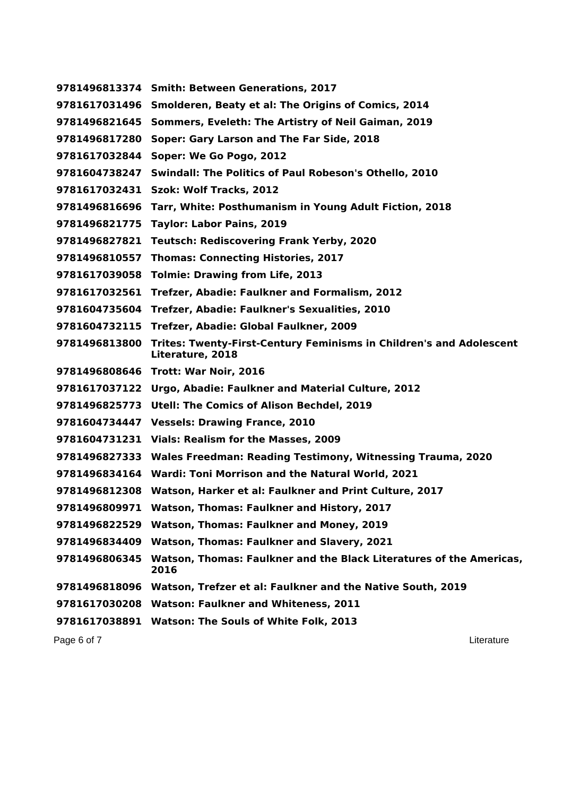|               | 9781496813374 Smith: Between Generations, 2017                                                 |
|---------------|------------------------------------------------------------------------------------------------|
|               | 9781617031496 Smolderen, Beaty et al: The Origins of Comics, 2014                              |
| 9781496821645 | Sommers, Eveleth: The Artistry of Neil Gaiman, 2019                                            |
| 9781496817280 | Soper: Gary Larson and The Far Side, 2018                                                      |
| 9781617032844 | Soper: We Go Pogo, 2012                                                                        |
| 9781604738247 | Swindall: The Politics of Paul Robeson's Othello, 2010                                         |
|               | 9781617032431 Szok: Wolf Tracks, 2012                                                          |
|               | 9781496816696 Tarr, White: Posthumanism in Young Adult Fiction, 2018                           |
|               | 9781496821775 Taylor: Labor Pains, 2019                                                        |
|               | 9781496827821 Teutsch: Rediscovering Frank Yerby, 2020                                         |
|               | 9781496810557 Thomas: Connecting Histories, 2017                                               |
|               | 9781617039058 Tolmie: Drawing from Life, 2013                                                  |
|               | 9781617032561 Trefzer, Abadie: Faulkner and Formalism, 2012                                    |
|               | 9781604735604 Trefzer, Abadie: Faulkner's Sexualities, 2010                                    |
|               | 9781604732115 Trefzer, Abadie: Global Faulkner, 2009                                           |
| 9781496813800 | <b>Trites: Twenty-First-Century Feminisms in Children's and Adolescent</b><br>Literature, 2018 |
|               | 9781496808646 Trott: War Noir, 2016                                                            |
|               | 9781617037122 Urgo, Abadie: Faulkner and Material Culture, 2012                                |
| 9781496825773 | Utell: The Comics of Alison Bechdel, 2019                                                      |
|               | 9781604734447 Vessels: Drawing France, 2010                                                    |
|               | 9781604731231 Vials: Realism for the Masses, 2009                                              |
| 9781496827333 | Wales Freedman: Reading Testimony, Witnessing Trauma, 2020                                     |
|               | 9781496834164 Wardi: Toni Morrison and the Natural World, 2021                                 |
|               | 9781496812308 Watson, Harker et al: Faulkner and Print Culture, 2017                           |
|               | 9781496809971 Watson, Thomas: Faulkner and History, 2017                                       |
| 9781496822529 | Watson, Thomas: Faulkner and Money, 2019                                                       |
| 9781496834409 | Watson, Thomas: Faulkner and Slavery, 2021                                                     |
| 9781496806345 | Watson, Thomas: Faulkner and the Black Literatures of the Americas,<br>2016                    |
|               | 9781496818096 Watson, Trefzer et al: Faulkner and the Native South, 2019                       |
| 9781617030208 | <b>Watson: Faulkner and Whiteness, 2011</b>                                                    |
|               | 9781617038891 Watson: The Souls of White Folk, 2013                                            |
| Page 6 of 7   | Literature                                                                                     |